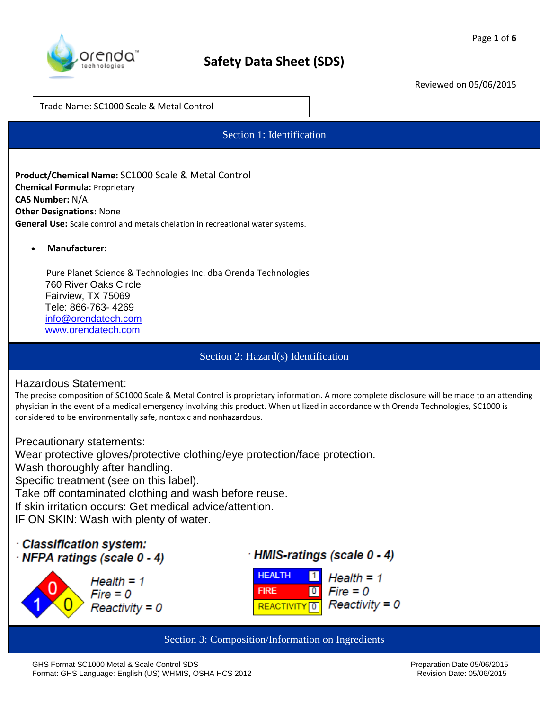

Trade Name: SC1000 Scale & Metal Control

Section 1: Identification

**Product/Chemical Name:** SC1000 Scale & Metal Control **Chemical Formula:** Proprietary **CAS Number:** N/A. **Other Designations:** None **General Use:** Scale control and metals chelation in recreational water systems.

**Manufacturer:** 

 Pure Planet Science & Technologies Inc. dba Orenda Technologies 760 River Oaks Circle Fairview, TX 75069 Tele: 866-763- 4269 [info@orendatech.com](mailto:info@orendatech.com) [www.orendatech.com](http://www.orendatech.com/)

Section 2: Hazard(s) Identification

#### Hazardous Statement:

The precise composition of SC1000 Scale & Metal Control is proprietary information. A more complete disclosure will be made to an attending physician in the event of a medical emergency involving this product. When utilized in accordance with Orenda Technologies, SC1000 is considered to be environmentally safe, nontoxic and nonhazardous.

Precautionary statements:

Wear protective gloves/protective clothing/eye protection/face protection. Wash thoroughly after handling. Specific treatment (see on this label). Take off contaminated clothing and wash before reuse. If skin irritation occurs: Get medical advice/attention. IF ON SKIN: Wash with plenty of water.

## $\cdot$  Classification system: NFPA ratings (scale 0 - 4)



· HMIS-ratings (scale 0 - 4)



Section 3: Composition/Information on Ingredients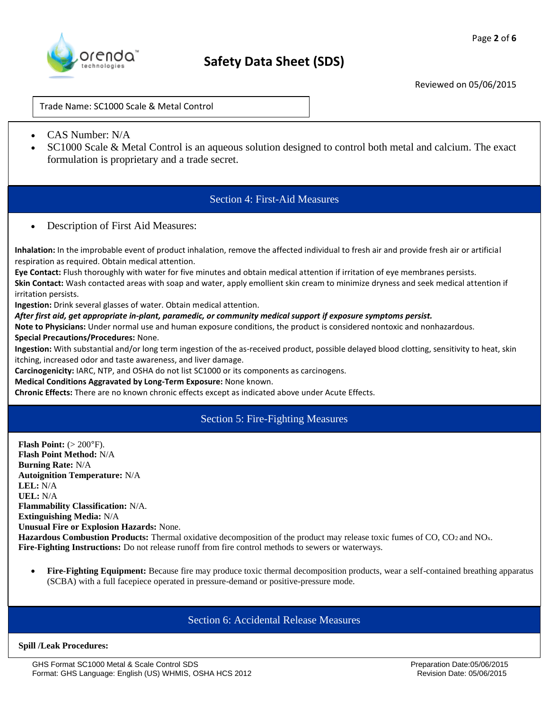

Trade Name: SC1000 Scale & Metal Control

- CAS Number: N/A
- SC1000 Scale & Metal Control is an aqueous solution designed to control both metal and calcium. The exact formulation is proprietary and a trade secret.

## Section 4: First-Aid Measures

Description of First Aid Measures:

**Inhalation:** In the improbable event of product inhalation, remove the affected individual to fresh air and provide fresh air or artificial respiration as required. Obtain medical attention.

**Eye Contact:** Flush thoroughly with water for five minutes and obtain medical attention if irritation of eye membranes persists.

**Skin Contact:** Wash contacted areas with soap and water, apply emollient skin cream to minimize dryness and seek medical attention if irritation persists.

**Ingestion:** Drink several glasses of water. Obtain medical attention.

#### *After first aid, get appropriate in-plant, paramedic, or community medical support if exposure symptoms persist.*

**Note to Physicians:** Under normal use and human exposure conditions, the product is considered nontoxic and nonhazardous.

#### **Special Precautions/Procedures:** None.

**Ingestion:** With substantial and/or long term ingestion of the as-received product, possible delayed blood clotting, sensitivity to heat, skin itching, increased odor and taste awareness, and liver damage.

**Carcinogenicity:** IARC, NTP, and OSHA do not list SC1000 or its components as carcinogens.

#### **Medical Conditions Aggravated by Long-Term Exposure:** None known.

**Chronic Effects:** There are no known chronic effects except as indicated above under Acute Effects.

### Section 5: Fire-Fighting Measures

**Flash Point:**  $(> 200^{\circ}$ **F). Flash Point Method:** N/A **Burning Rate:** N/A **Autoignition Temperature:** N/A **LEL:** N/A **UEL:** N/A **Flammability Classification:** N/A. **Extinguishing Media:** N/A **Unusual Fire or Explosion Hazards:** None. **Hazardous Combustion Products:** Thermal oxidative decomposition of the product may release toxic fumes of CO, CO<sub>2</sub> and NO<sub>x</sub>. **Fire-Fighting Instructions:** Do not release runoff from fire control methods to sewers or waterways.

 **Fire-Fighting Equipment:** Because fire may produce toxic thermal decomposition products, wear a self-contained breathing apparatus (SCBA) with a full facepiece operated in pressure-demand or positive-pressure mode.

## Section 6: Accidental Release Measures

#### **Spill /Leak Procedures:**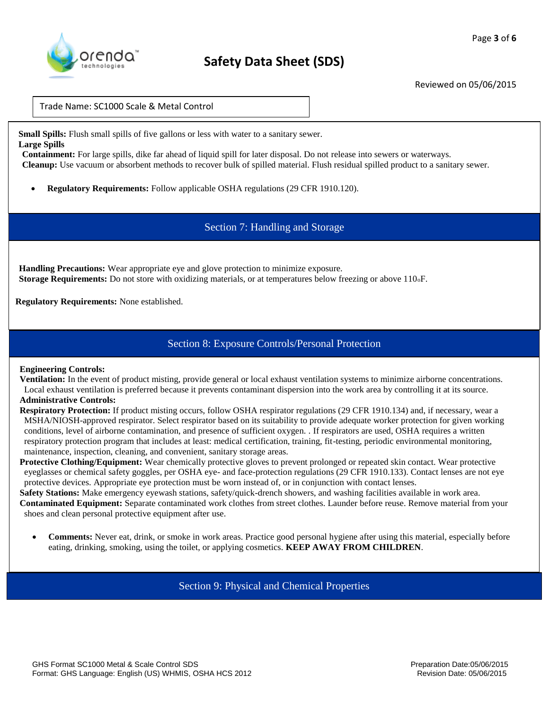

Trade Name: SC1000 Scale & Metal Control

**Small Spills:** Flush small spills of five gallons or less with water to a sanitary sewer. **Large Spills** 

**Containment:** For large spills, dike far ahead of liquid spill for later disposal. Do not release into sewers or waterways. **Cleanup:** Use vacuum or absorbent methods to recover bulk of spilled material. Flush residual spilled product to a sanitary sewer.

**Regulatory Requirements:** Follow applicable OSHA regulations (29 CFR 1910.120).

Section 7: Handling and Storage

**Handling Precautions:** Wear appropriate eye and glove protection to minimize exposure. **Storage Requirements:** Do not store with oxidizing materials, or at temperatures below freezing or above 110<sub>o</sub>F.

**Regulatory Requirements:** None established.

### Section 8: Exposure Controls/Personal Protection

#### **Engineering Controls:**

**Ventilation:** In the event of product misting, provide general or local exhaust ventilation systems to minimize airborne concentrations. Local exhaust ventilation is preferred because it prevents contaminant dispersion into the work area by controlling it at its source. **Administrative Controls:** 

**Respiratory Protection:** If product misting occurs, follow OSHA respirator regulations (29 CFR 1910.134) and, if necessary, wear a MSHA/NIOSH-approved respirator. Select respirator based on its suitability to provide adequate worker protection for given working conditions, level of airborne contamination, and presence of sufficient oxygen. *.* If respirators are used, OSHA requires a written respiratory protection program that includes at least: medical certification, training, fit-testing, periodic environmental monitoring, maintenance, inspection, cleaning, and convenient, sanitary storage areas.

**Protective Clothing/Equipment:** Wear chemically protective gloves to prevent prolonged or repeated skin contact. Wear protective eyeglasses or chemical safety goggles, per OSHA eye- and face-protection regulations (29 CFR 1910.133). Contact lenses are not eye protective devices. Appropriate eye protection must be worn instead of, or in conjunction with contact lenses.

**Safety Stations:** Make emergency eyewash stations, safety/quick-drench showers, and washing facilities available in work area. **Contaminated Equipment:** Separate contaminated work clothes from street clothes. Launder before reuse. Remove material from your shoes and clean personal protective equipment after use.

 **Comments:** Never eat, drink, or smoke in work areas. Practice good personal hygiene after using this material, especially before eating, drinking, smoking, using the toilet, or applying cosmetics. **KEEP AWAY FROM CHILDREN**.

Section 9: Physical and Chemical Properties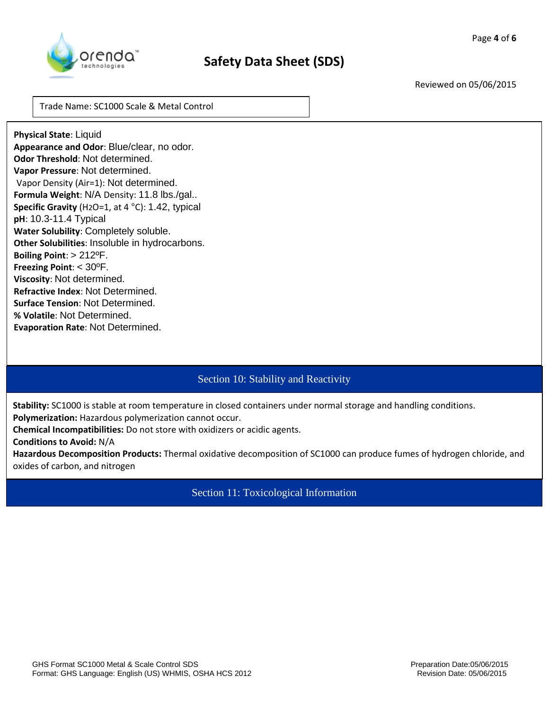

Reviewed on 05/06/2015

Trade Name: SC1000 Scale & Metal Control

**Physical State**: Liquid **Appearance and Odor**: Blue/clear, no odor. **Odor Threshold**: Not determined. **Vapor Pressure**: Not determined. Vapor Density (Air=1): Not determined. **Formula Weight**: N/A Density: 11.8 lbs./gal.. **Specific Gravity** (H2O=1, at 4 °C): 1.42, typical **pH**: 10.3-11.4 Typical **Water Solubility**: Completely soluble. **Other Solubilities**: Insoluble in hydrocarbons. **Boiling Point**: > 212ºF. **Freezing Point**: < 30ºF. **Viscosity**: Not determined. **Refractive Index**: Not Determined. **Surface Tension**: Not Determined. **% Volatile**: Not Determined. **Evaporation Rate**: Not Determined.

# Section 10: Stability and Reactivity

**Stability:** SC1000 is stable at room temperature in closed containers under normal storage and handling conditions. **Polymerization:** Hazardous polymerization cannot occur.

**Chemical Incompatibilities:** Do not store with oxidizers or acidic agents.

**Conditions to Avoid:** N/A

**Hazardous Decomposition Products:** Thermal oxidative decomposition of SC1000 can produce fumes of hydrogen chloride, and oxides of carbon, and nitrogen

Section 11: Toxicological Information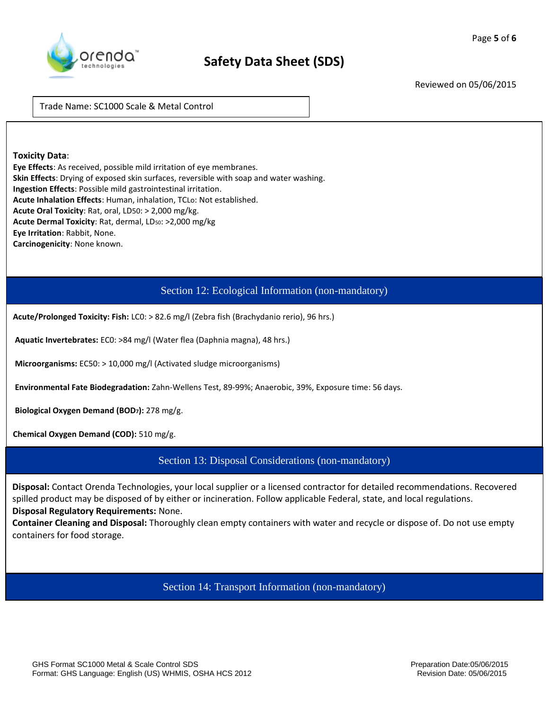

Reviewed on 05/06/2015

Trade Name: SC1000 Scale & Metal Control

#### **Toxicity Data**:

**Eye Effects**: As received, possible mild irritation of eye membranes. **Skin Effects**: Drying of exposed skin surfaces, reversible with soap and water washing. **Ingestion Effects**: Possible mild gastrointestinal irritation. **Acute Inhalation Effects**: Human, inhalation, TCLo: Not established. **Acute Oral Toxicity**: Rat, oral, LD50: > 2,000 mg/kg. Acute Dermal Toxicity: Rat, dermal, LD<sub>50</sub>: >2,000 mg/kg **Eye Irritation**: Rabbit, None. **Carcinogenicity**: None known.

## Section 12: Ecological Information (non-mandatory)

**Acute/Prolonged Toxicity: Fish:** LC0: > 82.6 mg/l (Zebra fish (Brachydanio rerio), 96 hrs.)

**Aquatic Invertebrates:** EC0: >84 mg/l (Water flea (Daphnia magna), 48 hrs.)

**Microorganisms:** EC50: > 10,000 mg/l (Activated sludge microorganisms)

**Environmental Fate Biodegradation:** Zahn-Wellens Test, 89-99%; Anaerobic, 39%, Exposure time: 56 days.

**Biological Oxygen Demand (BOD7):** 278 mg/g.

**Chemical Oxygen Demand (COD):** 510 mg/g.

Section 13: Disposal Considerations (non-mandatory)

**Disposal:** Contact Orenda Technologies, your local supplier or a licensed contractor for detailed recommendations. Recovered spilled product may be disposed of by either or incineration. Follow applicable Federal, state, and local regulations. **Disposal Regulatory Requirements:** None.

**Container Cleaning and Disposal:** Thoroughly clean empty containers with water and recycle or dispose of. Do not use empty containers for food storage.

Section 14: Transport Information (non-mandatory)